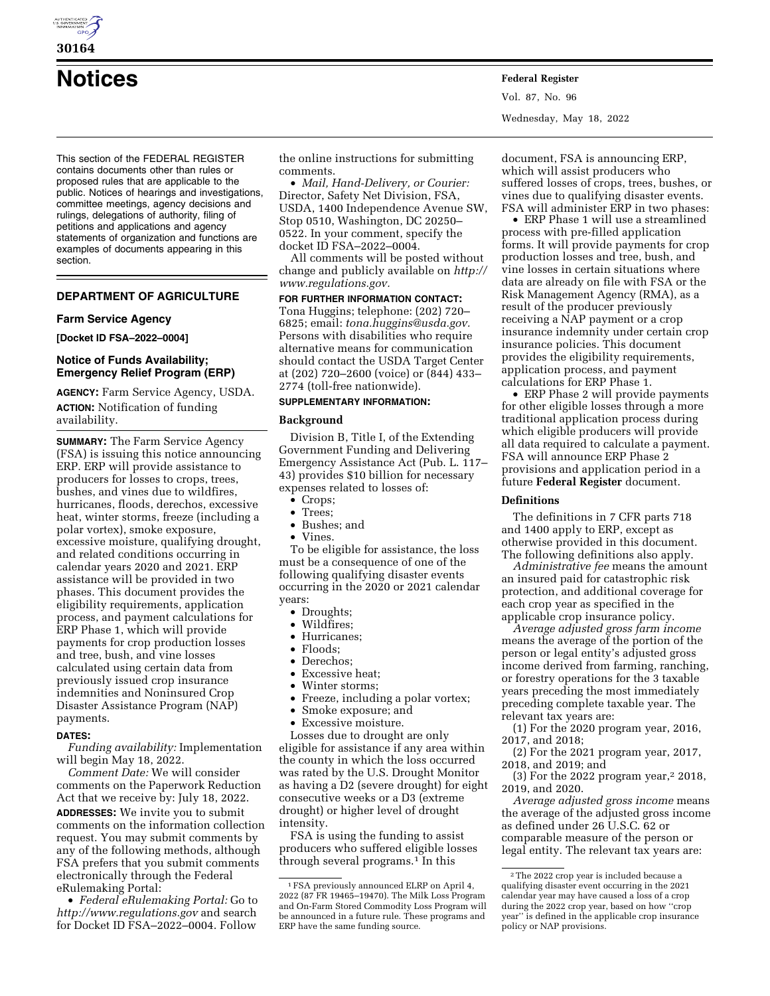

**30164** 

# **Notices Federal Register**

This section of the FEDERAL REGISTER contains documents other than rules or proposed rules that are applicable to the public. Notices of hearings and investigations, committee meetings, agency decisions and rulings, delegations of authority, filing of petitions and applications and agency statements of organization and functions are examples of documents appearing in this section.

# **DEPARTMENT OF AGRICULTURE**

#### **Farm Service Agency**

**[Docket ID FSA–2022–0004]** 

## **Notice of Funds Availability; Emergency Relief Program (ERP)**

**AGENCY:** Farm Service Agency, USDA. **ACTION:** Notification of funding availability.

**SUMMARY:** The Farm Service Agency (FSA) is issuing this notice announcing ERP. ERP will provide assistance to producers for losses to crops, trees, bushes, and vines due to wildfires, hurricanes, floods, derechos, excessive heat, winter storms, freeze (including a polar vortex), smoke exposure, excessive moisture, qualifying drought, and related conditions occurring in calendar years 2020 and 2021. ERP assistance will be provided in two phases. This document provides the eligibility requirements, application process, and payment calculations for ERP Phase 1, which will provide payments for crop production losses and tree, bush, and vine losses calculated using certain data from previously issued crop insurance indemnities and Noninsured Crop Disaster Assistance Program (NAP) payments.

#### **DATES:**

*Funding availability:* Implementation will begin May 18, 2022.

*Comment Date:* We will consider comments on the Paperwork Reduction Act that we receive by: July 18, 2022.

**ADDRESSES:** We invite you to submit comments on the information collection request. You may submit comments by any of the following methods, although FSA prefers that you submit comments electronically through the Federal eRulemaking Portal:

• *Federal eRulemaking Portal:* Go to *<http://www.regulations.gov>* and search for Docket ID FSA–2022–0004. Follow

the online instructions for submitting comments.

• *Mail, Hand-Delivery, or Courier:* Director, Safety Net Division, FSA, USDA, 1400 Independence Avenue SW, Stop 0510, Washington, DC 20250– 0522. In your comment, specify the docket ID FSA–2022–0004.

All comments will be posted without change and publicly available on *[http://](http://www.regulations.gov) [www.regulations.gov.](http://www.regulations.gov)* 

**FOR FURTHER INFORMATION CONTACT:**  Tona Huggins; telephone: (202) 720– 6825; email: *[tona.huggins@usda.gov.](mailto:tona.huggins@usda.gov)*  Persons with disabilities who require alternative means for communication should contact the USDA Target Center at (202) 720–2600 (voice) or (844) 433– 2774 (toll-free nationwide).

# **SUPPLEMENTARY INFORMATION:**

#### **Background**

Division B, Title I, of the Extending Government Funding and Delivering Emergency Assistance Act (Pub. L. 117– 43) provides \$10 billion for necessary expenses related to losses of:

- Crops;
- Trees;
- Bushes; and
- Vines.

To be eligible for assistance, the loss must be a consequence of one of the following qualifying disaster events occurring in the 2020 or 2021 calendar years:

- Droughts;
- Wildfires;
- Hurricanes;
- Floods;<br>• Derecho
- Derechos:
- Excessive heat;
- Winter storms;
- Freeze, including a polar vortex;
- Smoke exposure; and
- Excessive moisture.

Losses due to drought are only eligible for assistance if any area within the county in which the loss occurred was rated by the U.S. Drought Monitor as having a D2 (severe drought) for eight consecutive weeks or a D3 (extreme drought) or higher level of drought intensity.

FSA is using the funding to assist producers who suffered eligible losses through several programs.<sup>1</sup> In this

document, FSA is announcing ERP, which will assist producers who suffered losses of crops, trees, bushes, or vines due to qualifying disaster events. FSA will administer ERP in two phases:

• ERP Phase 1 will use a streamlined process with pre-filled application forms. It will provide payments for crop production losses and tree, bush, and vine losses in certain situations where data are already on file with FSA or the Risk Management Agency (RMA), as a result of the producer previously receiving a NAP payment or a crop insurance indemnity under certain crop insurance policies. This document provides the eligibility requirements, application process, and payment calculations for ERP Phase 1.

• ERP Phase 2 will provide payments for other eligible losses through a more traditional application process during which eligible producers will provide all data required to calculate a payment. FSA will announce ERP Phase 2 provisions and application period in a future **Federal Register** document.

#### **Definitions**

The definitions in 7 CFR parts 718 and 1400 apply to ERP, except as otherwise provided in this document. The following definitions also apply.

*Administrative fee* means the amount an insured paid for catastrophic risk protection, and additional coverage for each crop year as specified in the applicable crop insurance policy.

*Average adjusted gross farm income*  means the average of the portion of the person or legal entity's adjusted gross income derived from farming, ranching, or forestry operations for the 3 taxable years preceding the most immediately preceding complete taxable year. The relevant tax years are:

(1) For the 2020 program year, 2016, 2017, and 2018;

(2) For the 2021 program year, 2017, 2018, and 2019; and

(3) For the 2022 program year,2 2018, 2019, and 2020.

*Average adjusted gross income* means the average of the adjusted gross income as defined under 26 U.S.C. 62 or comparable measure of the person or legal entity. The relevant tax years are:

<sup>1</sup>FSA previously announced ELRP on April 4, 2022 (87 FR 19465–19470). The Milk Loss Program and On-Farm Stored Commodity Loss Program will be announced in a future rule. These programs and ERP have the same funding source.

<sup>2</sup>The 2022 crop year is included because a qualifying disaster event occurring in the 2021 calendar year may have caused a loss of a crop during the 2022 crop year, based on how ''crop year'' is defined in the applicable crop insurance policy or NAP provisions.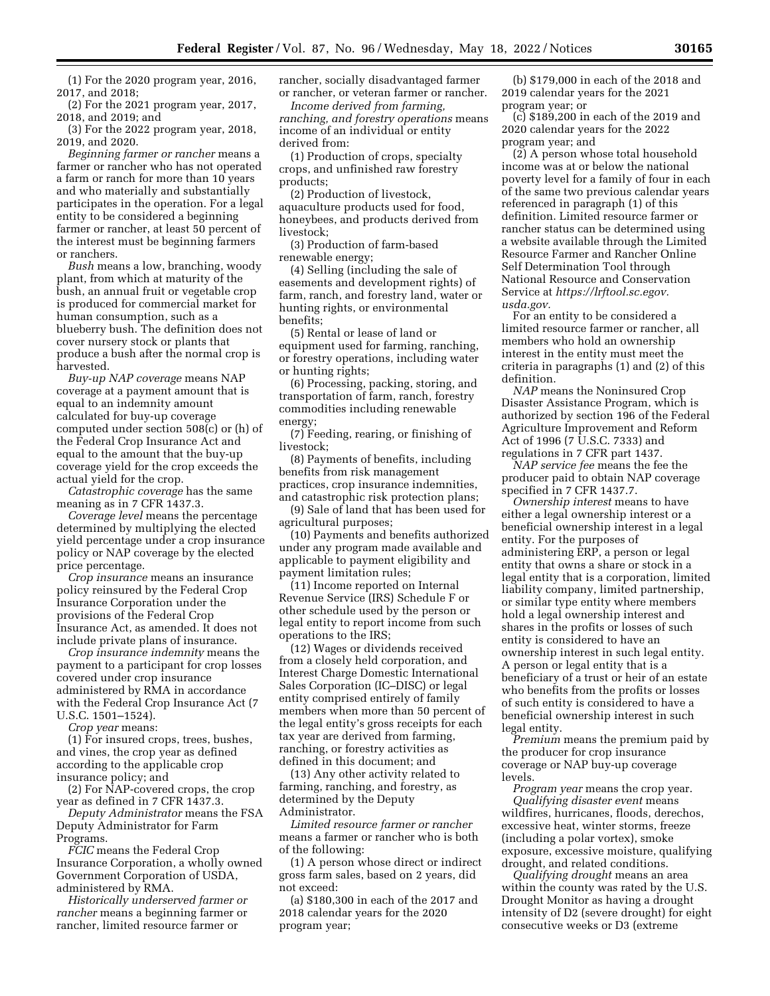(1) For the 2020 program year, 2016, 2017, and 2018;

(2) For the 2021 program year, 2017, 2018, and 2019; and

(3) For the 2022 program year, 2018, 2019, and 2020.

*Beginning farmer or rancher* means a farmer or rancher who has not operated a farm or ranch for more than 10 years and who materially and substantially participates in the operation. For a legal entity to be considered a beginning farmer or rancher, at least 50 percent of the interest must be beginning farmers or ranchers.

*Bush* means a low, branching, woody plant, from which at maturity of the bush, an annual fruit or vegetable crop is produced for commercial market for human consumption, such as a blueberry bush. The definition does not cover nursery stock or plants that produce a bush after the normal crop is harvested.

*Buy-up NAP coverage* means NAP coverage at a payment amount that is equal to an indemnity amount calculated for buy-up coverage computed under section 508(c) or (h) of the Federal Crop Insurance Act and equal to the amount that the buy-up coverage yield for the crop exceeds the actual yield for the crop.

*Catastrophic coverage* has the same meaning as in 7 CFR 1437.3.

*Coverage level* means the percentage determined by multiplying the elected yield percentage under a crop insurance policy or NAP coverage by the elected price percentage.

*Crop insurance* means an insurance policy reinsured by the Federal Crop Insurance Corporation under the provisions of the Federal Crop Insurance Act, as amended. It does not include private plans of insurance.

*Crop insurance indemnity* means the payment to a participant for crop losses covered under crop insurance administered by RMA in accordance with the Federal Crop Insurance Act (7 U.S.C. 1501–1524).

*Crop year* means:

(1) For insured crops, trees, bushes, and vines, the crop year as defined according to the applicable crop insurance policy; and

(2) For NAP-covered crops, the crop year as defined in 7 CFR 1437.3.

*Deputy Administrator* means the FSA Deputy Administrator for Farm Programs.

*FCIC* means the Federal Crop Insurance Corporation, a wholly owned Government Corporation of USDA, administered by RMA.

*Historically underserved farmer or rancher* means a beginning farmer or rancher, limited resource farmer or

rancher, socially disadvantaged farmer or rancher, or veteran farmer or rancher.

*Income derived from farming, ranching, and forestry operations* means income of an individual or entity derived from:

(1) Production of crops, specialty crops, and unfinished raw forestry products;

(2) Production of livestock, aquaculture products used for food, honeybees, and products derived from livestock;

(3) Production of farm-based renewable energy;

(4) Selling (including the sale of easements and development rights) of farm, ranch, and forestry land, water or hunting rights, or environmental benefits;

(5) Rental or lease of land or equipment used for farming, ranching, or forestry operations, including water or hunting rights;

(6) Processing, packing, storing, and transportation of farm, ranch, forestry commodities including renewable energy;

(7) Feeding, rearing, or finishing of livestock;

(8) Payments of benefits, including benefits from risk management practices, crop insurance indemnities, and catastrophic risk protection plans;

(9) Sale of land that has been used for agricultural purposes;

(10) Payments and benefits authorized under any program made available and applicable to payment eligibility and payment limitation rules;

(11) Income reported on Internal Revenue Service (IRS) Schedule F or other schedule used by the person or legal entity to report income from such operations to the IRS;

(12) Wages or dividends received from a closely held corporation, and Interest Charge Domestic International Sales Corporation (IC–DISC) or legal entity comprised entirely of family members when more than 50 percent of the legal entity's gross receipts for each tax year are derived from farming, ranching, or forestry activities as defined in this document; and

(13) Any other activity related to farming, ranching, and forestry, as determined by the Deputy Administrator.

*Limited resource farmer or rancher*  means a farmer or rancher who is both of the following:

(1) A person whose direct or indirect gross farm sales, based on 2 years, did not exceed:

(a) \$180,300 in each of the 2017 and 2018 calendar years for the 2020 program year;

(b) \$179,000 in each of the 2018 and 2019 calendar years for the 2021 program year; or

(c) \$189,200 in each of the 2019 and 2020 calendar years for the 2022 program year; and

(2) A person whose total household income was at or below the national poverty level for a family of four in each of the same two previous calendar years referenced in paragraph (1) of this definition. Limited resource farmer or rancher status can be determined using a website available through the Limited Resource Farmer and Rancher Online Self Determination Tool through National Resource and Conservation Service at *[https://lrftool.sc.egov.](https://lrftool.sc.egov.usda.gov) [usda.gov.](https://lrftool.sc.egov.usda.gov)* 

For an entity to be considered a limited resource farmer or rancher, all members who hold an ownership interest in the entity must meet the criteria in paragraphs (1) and (2) of this definition.

*NAP* means the Noninsured Crop Disaster Assistance Program, which is authorized by section 196 of the Federal Agriculture Improvement and Reform Act of 1996 (7 U.S.C. 7333) and regulations in 7 CFR part 1437.

*NAP service fee* means the fee the producer paid to obtain NAP coverage specified in 7 CFR 1437.7.

*Ownership interest* means to have either a legal ownership interest or a beneficial ownership interest in a legal entity. For the purposes of administering ERP, a person or legal entity that owns a share or stock in a legal entity that is a corporation, limited liability company, limited partnership, or similar type entity where members hold a legal ownership interest and shares in the profits or losses of such entity is considered to have an ownership interest in such legal entity. A person or legal entity that is a beneficiary of a trust or heir of an estate who benefits from the profits or losses of such entity is considered to have a beneficial ownership interest in such legal entity.

*Premium* means the premium paid by the producer for crop insurance coverage or NAP buy-up coverage levels.

*Program year* means the crop year. *Qualifying disaster event* means wildfires, hurricanes, floods, derechos, excessive heat, winter storms, freeze (including a polar vortex), smoke exposure, excessive moisture, qualifying drought, and related conditions.

*Qualifying drought* means an area within the county was rated by the U.S. Drought Monitor as having a drought intensity of D2 (severe drought) for eight consecutive weeks or D3 (extreme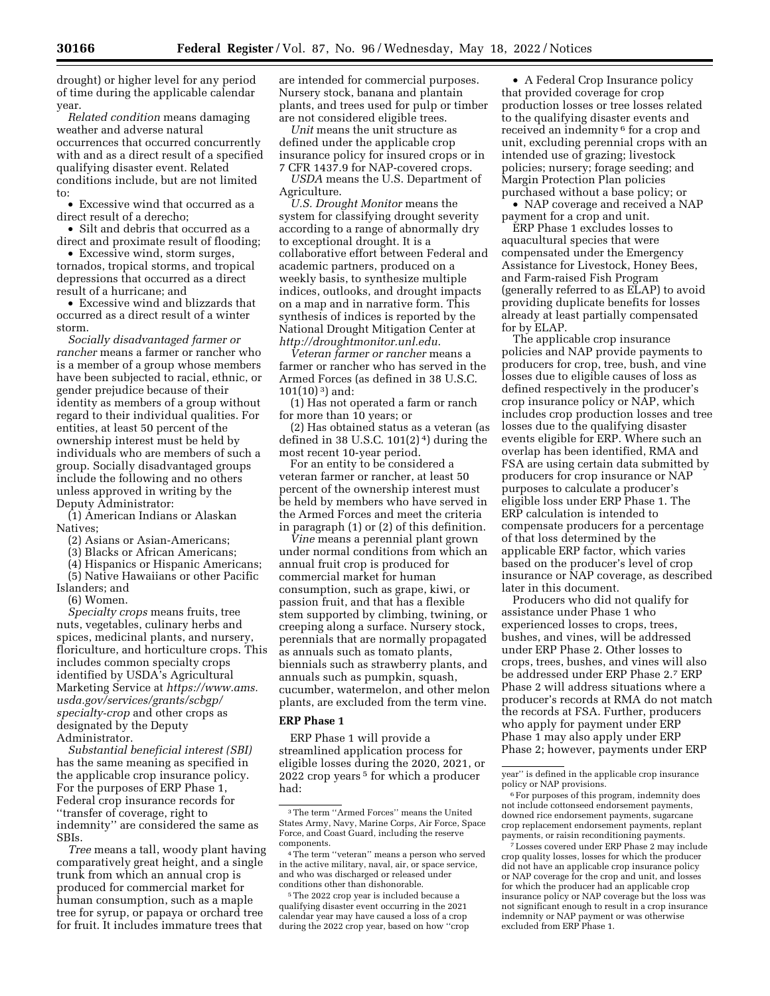drought) or higher level for any period of time during the applicable calendar year.

*Related condition* means damaging weather and adverse natural occurrences that occurred concurrently with and as a direct result of a specified qualifying disaster event. Related conditions include, but are not limited to:

• Excessive wind that occurred as a direct result of a derecho;

• Silt and debris that occurred as a direct and proximate result of flooding;

• Excessive wind, storm surges, tornados, tropical storms, and tropical depressions that occurred as a direct result of a hurricane; and

• Excessive wind and blizzards that occurred as a direct result of a winter storm.

*Socially disadvantaged farmer or rancher* means a farmer or rancher who is a member of a group whose members have been subjected to racial, ethnic, or gender prejudice because of their identity as members of a group without regard to their individual qualities. For entities, at least 50 percent of the ownership interest must be held by individuals who are members of such a group. Socially disadvantaged groups include the following and no others unless approved in writing by the Deputy Administrator:

(1) American Indians or Alaskan Natives;

(2) Asians or Asian-Americans;

(3) Blacks or African Americans;

(4) Hispanics or Hispanic Americans;

(5) Native Hawaiians or other Pacific Islanders; and

(6) Women.

*Specialty crops* means fruits, tree nuts, vegetables, culinary herbs and spices, medicinal plants, and nursery, floriculture, and horticulture crops. This includes common specialty crops identified by USDA's Agricultural Marketing Service at *[https://www.ams.](https://www.ams.usda.gov/services/grants/scbgp/specialty-crop) [usda.gov/services/grants/scbgp/](https://www.ams.usda.gov/services/grants/scbgp/specialty-crop) [specialty-crop](https://www.ams.usda.gov/services/grants/scbgp/specialty-crop)* and other crops as designated by the Deputy Administrator.

*Substantial beneficial interest (SBI)*  has the same meaning as specified in the applicable crop insurance policy. For the purposes of ERP Phase 1, Federal crop insurance records for ''transfer of coverage, right to indemnity'' are considered the same as SBIs.

*Tree* means a tall, woody plant having comparatively great height, and a single trunk from which an annual crop is produced for commercial market for human consumption, such as a maple tree for syrup, or papaya or orchard tree for fruit. It includes immature trees that

are intended for commercial purposes. Nursery stock, banana and plantain plants, and trees used for pulp or timber are not considered eligible trees.

*Unit* means the unit structure as defined under the applicable crop insurance policy for insured crops or in 7 CFR 1437.9 for NAP-covered crops.

*USDA* means the U.S. Department of Agriculture.

*U.S. Drought Monitor* means the system for classifying drought severity according to a range of abnormally dry to exceptional drought. It is a collaborative effort between Federal and academic partners, produced on a weekly basis, to synthesize multiple indices, outlooks, and drought impacts on a map and in narrative form. This synthesis of indices is reported by the National Drought Mitigation Center at *<http://droughtmonitor.unl.edu>*.

*Veteran farmer or rancher* means a farmer or rancher who has served in the Armed Forces (as defined in 38 U.S.C. 101(10) 3) and:

(1) Has not operated a farm or ranch for more than 10 years; or

(2) Has obtained status as a veteran (as defined in 38 U.S.C.  $101(2)^4$  during the most recent 10-year period.

For an entity to be considered a veteran farmer or rancher, at least 50 percent of the ownership interest must be held by members who have served in the Armed Forces and meet the criteria in paragraph (1) or (2) of this definition.

*Vine* means a perennial plant grown under normal conditions from which an annual fruit crop is produced for commercial market for human consumption, such as grape, kiwi, or passion fruit, and that has a flexible stem supported by climbing, twining, or creeping along a surface. Nursery stock, perennials that are normally propagated as annuals such as tomato plants, biennials such as strawberry plants, and annuals such as pumpkin, squash, cucumber, watermelon, and other melon plants, are excluded from the term vine.

# **ERP Phase 1**

ERP Phase 1 will provide a streamlined application process for eligible losses during the 2020, 2021, or 2022 crop years 5 for which a producer had:

5The 2022 crop year is included because a qualifying disaster event occurring in the 2021 calendar year may have caused a loss of a crop during the 2022 crop year, based on how ''crop

• A Federal Crop Insurance policy that provided coverage for crop production losses or tree losses related to the qualifying disaster events and received an indemnity<sup>6</sup> for a crop and unit, excluding perennial crops with an intended use of grazing; livestock policies; nursery; forage seeding; and Margin Protection Plan policies purchased without a base policy; or

• NAP coverage and received a NAP payment for a crop and unit.

ERP Phase 1 excludes losses to aquacultural species that were compensated under the Emergency Assistance for Livestock, Honey Bees, and Farm-raised Fish Program (generally referred to as ELAP) to avoid providing duplicate benefits for losses already at least partially compensated for by ELAP.

The applicable crop insurance policies and NAP provide payments to producers for crop, tree, bush, and vine losses due to eligible causes of loss as defined respectively in the producer's crop insurance policy or NAP, which includes crop production losses and tree losses due to the qualifying disaster events eligible for ERP. Where such an overlap has been identified, RMA and FSA are using certain data submitted by producers for crop insurance or NAP purposes to calculate a producer's eligible loss under ERP Phase 1. The ERP calculation is intended to compensate producers for a percentage of that loss determined by the applicable ERP factor, which varies based on the producer's level of crop insurance or NAP coverage, as described later in this document.

Producers who did not qualify for assistance under Phase 1 who experienced losses to crops, trees, bushes, and vines, will be addressed under ERP Phase 2. Other losses to crops, trees, bushes, and vines will also be addressed under ERP Phase 2.7 ERP Phase 2 will address situations where a producer's records at RMA do not match the records at FSA. Further, producers who apply for payment under ERP Phase 1 may also apply under ERP Phase 2; however, payments under ERP

7Losses covered under ERP Phase 2 may include crop quality losses, losses for which the producer did not have an applicable crop insurance policy or NAP coverage for the crop and unit, and losses for which the producer had an applicable crop insurance policy or NAP coverage but the loss was not significant enough to result in a crop insurance indemnity or NAP payment or was otherwise excluded from ERP Phase 1.

<sup>3</sup>The term ''Armed Forces'' means the United States Army, Navy, Marine Corps, Air Force, Space Force, and Coast Guard, including the reserve components.

<sup>4</sup>The term ''veteran'' means a person who served in the active military, naval, air, or space service, and who was discharged or released under conditions other than dishonorable.

year'' is defined in the applicable crop insurance policy or NAP provisions.

<sup>6</sup>For purposes of this program, indemnity does not include cottonseed endorsement payments, downed rice endorsement payments, sugarcane crop replacement endorsement payments, replant payments, or raisin reconditioning payments.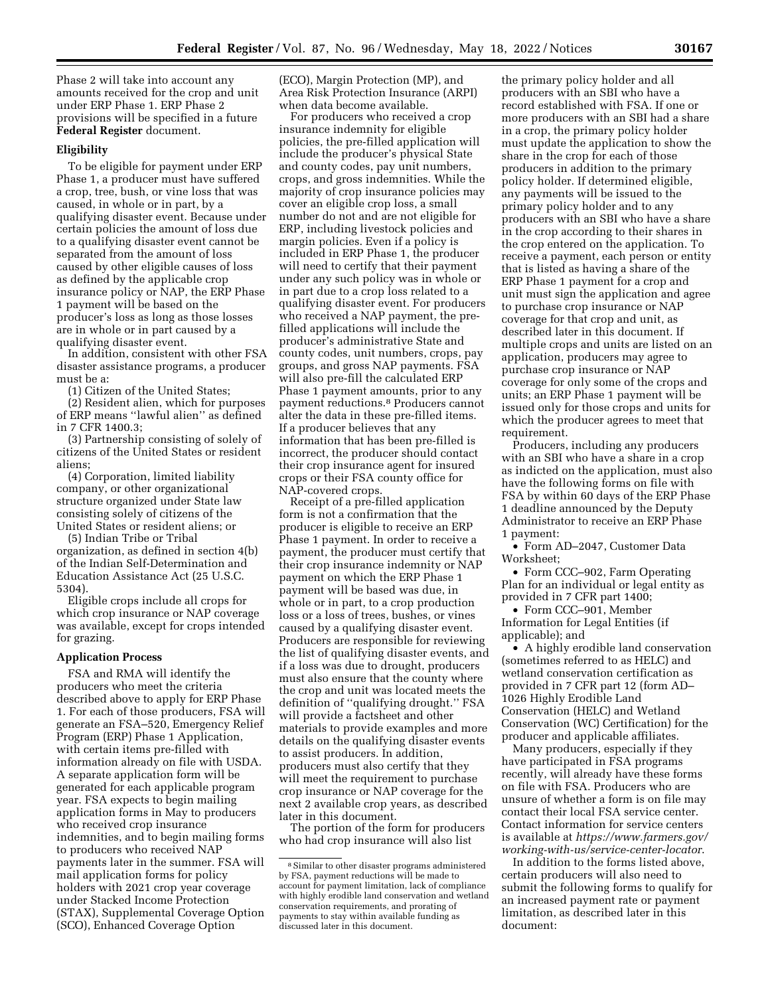(ECO), Margin Protection (MP), and Area Risk Protection Insurance (ARPI)

when data become available. For producers who received a crop insurance indemnity for eligible policies, the pre-filled application will include the producer's physical State and county codes, pay unit numbers, crops, and gross indemnities. While the majority of crop insurance policies may cover an eligible crop loss, a small number do not and are not eligible for ERP, including livestock policies and margin policies. Even if a policy is included in ERP Phase 1, the producer will need to certify that their payment under any such policy was in whole or in part due to a crop loss related to a qualifying disaster event. For producers who received a NAP payment, the prefilled applications will include the producer's administrative State and county codes, unit numbers, crops, pay groups, and gross NAP payments. FSA will also pre-fill the calculated ERP Phase 1 payment amounts, prior to any payment reductions.8 Producers cannot alter the data in these pre-filled items. If a producer believes that any information that has been pre-filled is incorrect, the producer should contact their crop insurance agent for insured crops or their FSA county office for NAP-covered crops.

Receipt of a pre-filled application form is not a confirmation that the producer is eligible to receive an ERP Phase 1 payment. In order to receive a payment, the producer must certify that their crop insurance indemnity or NAP payment on which the ERP Phase 1 payment will be based was due, in whole or in part, to a crop production loss or a loss of trees, bushes, or vines caused by a qualifying disaster event. Producers are responsible for reviewing the list of qualifying disaster events, and if a loss was due to drought, producers must also ensure that the county where the crop and unit was located meets the definition of ''qualifying drought.'' FSA will provide a factsheet and other materials to provide examples and more details on the qualifying disaster events to assist producers. In addition, producers must also certify that they will meet the requirement to purchase crop insurance or NAP coverage for the next 2 available crop years, as described later in this document.

The portion of the form for producers who had crop insurance will also list

the primary policy holder and all producers with an SBI who have a record established with FSA. If one or more producers with an SBI had a share in a crop, the primary policy holder must update the application to show the share in the crop for each of those producers in addition to the primary policy holder. If determined eligible, any payments will be issued to the primary policy holder and to any producers with an SBI who have a share in the crop according to their shares in the crop entered on the application. To receive a payment, each person or entity that is listed as having a share of the ERP Phase 1 payment for a crop and unit must sign the application and agree to purchase crop insurance or NAP coverage for that crop and unit, as described later in this document. If multiple crops and units are listed on an application, producers may agree to purchase crop insurance or NAP coverage for only some of the crops and units; an ERP Phase 1 payment will be issued only for those crops and units for which the producer agrees to meet that requirement.

Producers, including any producers with an SBI who have a share in a crop as indicted on the application, must also have the following forms on file with FSA by within 60 days of the ERP Phase 1 deadline announced by the Deputy Administrator to receive an ERP Phase 1 payment:

• Form AD–2047, Customer Data Worksheet;

• Form CCC–902, Farm Operating Plan for an individual or legal entity as provided in 7 CFR part 1400;

• Form CCC–901, Member Information for Legal Entities (if applicable); and

• A highly erodible land conservation (sometimes referred to as HELC) and wetland conservation certification as provided in 7 CFR part 12 (form AD– 1026 Highly Erodible Land Conservation (HELC) and Wetland Conservation (WC) Certification) for the producer and applicable affiliates.

Many producers, especially if they have participated in FSA programs recently, will already have these forms on file with FSA. Producers who are unsure of whether a form is on file may contact their local FSA service center. Contact information for service centers is available at *[https://www.farmers.gov/](https://www.farmers.gov/working-with-us/service-center-locator) [working-with-us/service-center-locator](https://www.farmers.gov/working-with-us/service-center-locator)*.

In addition to the forms listed above, certain producers will also need to submit the following forms to qualify for an increased payment rate or payment limitation, as described later in this document:

Phase 2 will take into account any amounts received for the crop and unit under ERP Phase 1. ERP Phase 2 provisions will be specified in a future **Federal Register** document.

## **Eligibility**

To be eligible for payment under ERP Phase 1, a producer must have suffered a crop, tree, bush, or vine loss that was caused, in whole or in part, by a qualifying disaster event. Because under certain policies the amount of loss due to a qualifying disaster event cannot be separated from the amount of loss caused by other eligible causes of loss as defined by the applicable crop insurance policy or NAP, the ERP Phase 1 payment will be based on the producer's loss as long as those losses are in whole or in part caused by a qualifying disaster event.

In addition, consistent with other FSA disaster assistance programs, a producer must be a:

(1) Citizen of the United States;

(2) Resident alien, which for purposes of ERP means ''lawful alien'' as defined in 7 CFR 1400.3;

(3) Partnership consisting of solely of citizens of the United States or resident aliens;

(4) Corporation, limited liability company, or other organizational structure organized under State law consisting solely of citizens of the United States or resident aliens; or

(5) Indian Tribe or Tribal

organization, as defined in section 4(b) of the Indian Self-Determination and Education Assistance Act (25 U.S.C. 5304).

Eligible crops include all crops for which crop insurance or NAP coverage was available, except for crops intended for grazing.

## **Application Process**

FSA and RMA will identify the producers who meet the criteria described above to apply for ERP Phase 1. For each of those producers, FSA will generate an FSA–520, Emergency Relief Program (ERP) Phase 1 Application, with certain items pre-filled with information already on file with USDA. A separate application form will be generated for each applicable program year. FSA expects to begin mailing application forms in May to producers who received crop insurance indemnities, and to begin mailing forms to producers who received NAP payments later in the summer. FSA will mail application forms for policy holders with 2021 crop year coverage under Stacked Income Protection (STAX), Supplemental Coverage Option (SCO), Enhanced Coverage Option

<sup>8</sup>Similar to other disaster programs administered by FSA, payment reductions will be made to account for payment limitation, lack of compliance with highly erodible land conservation and wetland conservation requirements, and prorating of payments to stay within available funding as discussed later in this document.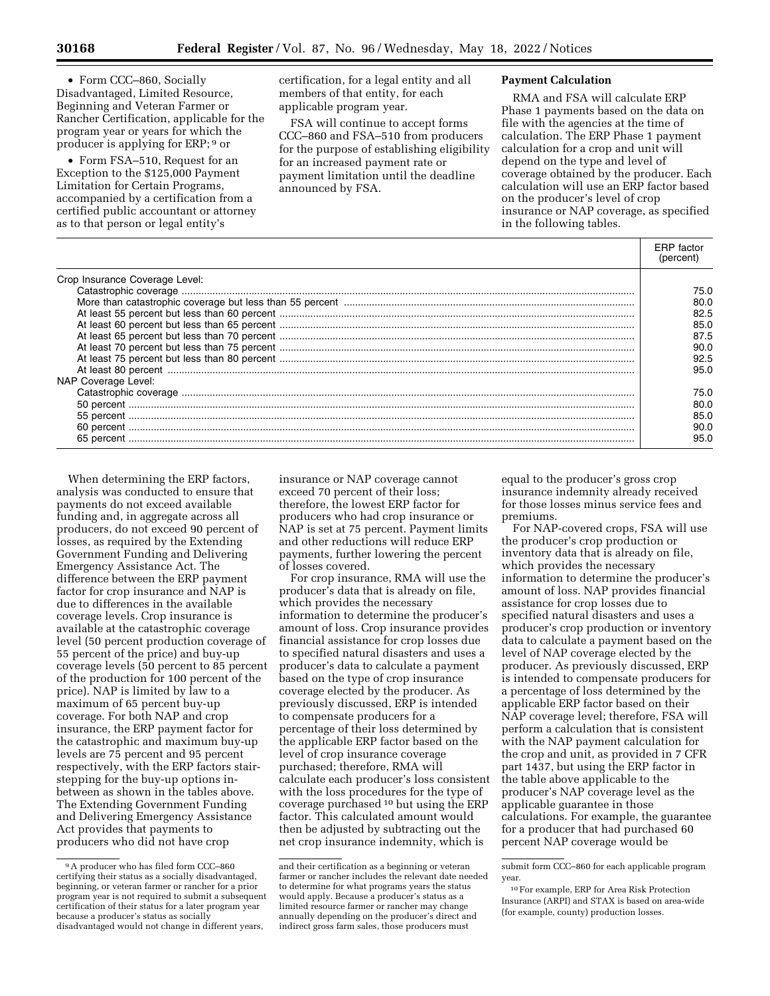• Form CCC–860, Socially Disadvantaged, Limited Resource, Beginning and Veteran Farmer or Rancher Certification, applicable for the program year or years for which the producer is applying for ERP; 9 or

• Form FSA–510, Request for an Exception to the \$125,000 Payment Limitation for Certain Programs, accompanied by a certification from a certified public accountant or attorney as to that person or legal entity's

certification, for a legal entity and all members of that entity, for each applicable program year.

FSA will continue to accept forms CCC–860 and FSA–510 from producers for the purpose of establishing eligibility for an increased payment rate or payment limitation until the deadline announced by FSA.

### **Payment Calculation**

RMA and FSA will calculate ERP Phase 1 payments based on the data on file with the agencies at the time of calculation. The ERP Phase 1 payment calculation for a crop and unit will depend on the type and level of coverage obtained by the producer. Each calculation will use an ERP factor based on the producer's level of crop insurance or NAP coverage, as specified in the following tables.

|                                | (percent) |
|--------------------------------|-----------|
| Crop Insurance Coverage Level: |           |
|                                | 75.O      |
|                                | 80.O      |
|                                | 82.5      |
|                                | 85.0      |
|                                | 87.5      |
|                                | 90.0      |
|                                | 92.5      |
|                                | 95.0      |
| NAP Coverage Level:            |           |
|                                | 75.0      |
|                                | 80.0      |
|                                | 85.0      |
|                                | 90.0      |
|                                | 95.0      |

When determining the ERP factors, analysis was conducted to ensure that payments do not exceed available funding and, in aggregate across all producers, do not exceed 90 percent of losses, as required by the Extending Government Funding and Delivering Emergency Assistance Act. The difference between the ERP payment factor for crop insurance and NAP is due to differences in the available coverage levels. Crop insurance is available at the catastrophic coverage level (50 percent production coverage of 55 percent of the price) and buy-up coverage levels (50 percent to 85 percent of the production for 100 percent of the price). NAP is limited by law to a maximum of 65 percent buy-up coverage. For both NAP and crop insurance, the ERP payment factor for the catastrophic and maximum buy-up levels are 75 percent and 95 percent respectively, with the ERP factors stairstepping for the buy-up options inbetween as shown in the tables above. The Extending Government Funding and Delivering Emergency Assistance Act provides that payments to producers who did not have crop

insurance or NAP coverage cannot exceed 70 percent of their loss; therefore, the lowest ERP factor for producers who had crop insurance or NAP is set at 75 percent. Payment limits and other reductions will reduce ERP payments, further lowering the percent of losses covered.

For crop insurance, RMA will use the producer's data that is already on file, which provides the necessary information to determine the producer's amount of loss. Crop insurance provides financial assistance for crop losses due to specified natural disasters and uses a producer's data to calculate a payment based on the type of crop insurance coverage elected by the producer. As previously discussed, ERP is intended to compensate producers for a percentage of their loss determined by the applicable ERP factor based on the level of crop insurance coverage purchased; therefore, RMA will calculate each producer's loss consistent with the loss procedures for the type of coverage purchased 10 but using the ERP factor. This calculated amount would then be adjusted by subtracting out the net crop insurance indemnity, which is

equal to the producer's gross crop insurance indemnity already received for those losses minus service fees and premiums.

For NAP-covered crops, FSA will use the producer's crop production or inventory data that is already on file, which provides the necessary information to determine the producer's amount of loss. NAP provides financial assistance for crop losses due to specified natural disasters and uses a producer's crop production or inventory data to calculate a payment based on the level of NAP coverage elected by the producer. As previously discussed, ERP is intended to compensate producers for a percentage of loss determined by the applicable ERP factor based on their NAP coverage level; therefore, FSA will perform a calculation that is consistent with the NAP payment calculation for the crop and unit, as provided in 7 CFR part 1437, but using the ERP factor in the table above applicable to the producer's NAP coverage level as the applicable guarantee in those calculations. For example, the guarantee for a producer that had purchased 60 percent NAP coverage would be

<sup>9</sup>A producer who has filed form CCC–860 certifying their status as a socially disadvantaged, beginning, or veteran farmer or rancher for a prior program year is not required to submit a subsequent certification of their status for a later program year because a producer's status as socially disadvantaged would not change in different years,

and their certification as a beginning or veteran farmer or rancher includes the relevant date needed to determine for what programs years the status would apply. Because a producer's status as a limited resource farmer or rancher may change annually depending on the producer's direct and indirect gross farm sales, those producers must

submit form CCC–860 for each applicable program year.

<sup>10</sup>For example, ERP for Area Risk Protection Insurance (ARPI) and STAX is based on area-wide (for example, county) production losses.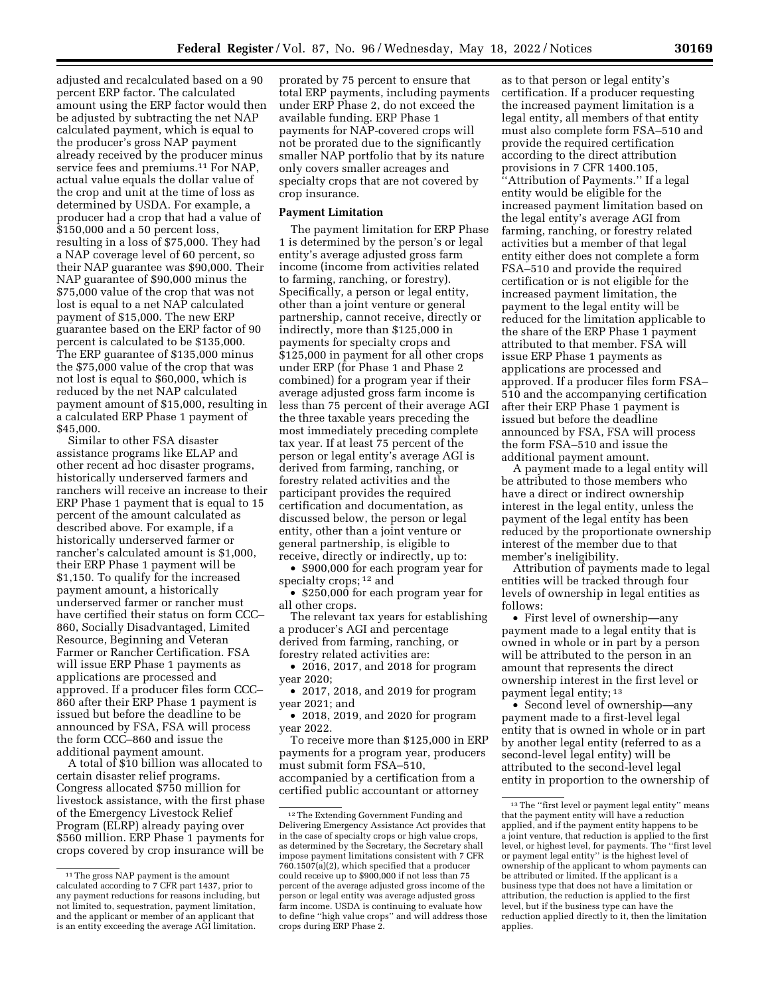adjusted and recalculated based on a 90 percent ERP factor. The calculated amount using the ERP factor would then be adjusted by subtracting the net NAP calculated payment, which is equal to the producer's gross NAP payment already received by the producer minus service fees and premiums.11 For NAP, actual value equals the dollar value of the crop and unit at the time of loss as determined by USDA. For example, a producer had a crop that had a value of \$150,000 and a 50 percent loss, resulting in a loss of \$75,000. They had a NAP coverage level of 60 percent, so their NAP guarantee was \$90,000. Their NAP guarantee of \$90,000 minus the \$75,000 value of the crop that was not lost is equal to a net NAP calculated payment of \$15,000. The new ERP guarantee based on the ERP factor of 90 percent is calculated to be \$135,000. The ERP guarantee of \$135,000 minus the \$75,000 value of the crop that was not lost is equal to \$60,000, which is reduced by the net NAP calculated payment amount of \$15,000, resulting in a calculated ERP Phase 1 payment of \$45,000.

Similar to other FSA disaster assistance programs like ELAP and other recent ad hoc disaster programs, historically underserved farmers and ranchers will receive an increase to their ERP Phase 1 payment that is equal to 15 percent of the amount calculated as described above. For example, if a historically underserved farmer or rancher's calculated amount is \$1,000, their ERP Phase 1 payment will be \$1,150. To qualify for the increased payment amount, a historically underserved farmer or rancher must have certified their status on form CCC– 860, Socially Disadvantaged, Limited Resource, Beginning and Veteran Farmer or Rancher Certification. FSA will issue ERP Phase 1 payments as applications are processed and approved. If a producer files form CCC– 860 after their ERP Phase 1 payment is issued but before the deadline to be announced by FSA, FSA will process the form CCC–860 and issue the additional payment amount.

A total of \$10 billion was allocated to certain disaster relief programs. Congress allocated \$750 million for livestock assistance, with the first phase of the Emergency Livestock Relief Program (ELRP) already paying over \$560 million. ERP Phase 1 payments for crops covered by crop insurance will be

prorated by 75 percent to ensure that total ERP payments, including payments under ERP Phase 2, do not exceed the available funding. ERP Phase 1 payments for NAP-covered crops will not be prorated due to the significantly smaller NAP portfolio that by its nature only covers smaller acreages and specialty crops that are not covered by crop insurance.

## **Payment Limitation**

The payment limitation for ERP Phase 1 is determined by the person's or legal entity's average adjusted gross farm income (income from activities related to farming, ranching, or forestry). Specifically, a person or legal entity, other than a joint venture or general partnership, cannot receive, directly or indirectly, more than \$125,000 in payments for specialty crops and \$125,000 in payment for all other crops under ERP (for Phase 1 and Phase 2 combined) for a program year if their average adjusted gross farm income is less than 75 percent of their average AGI the three taxable years preceding the most immediately preceding complete tax year. If at least 75 percent of the person or legal entity's average AGI is derived from farming, ranching, or forestry related activities and the participant provides the required certification and documentation, as discussed below, the person or legal entity, other than a joint venture or general partnership, is eligible to receive, directly or indirectly, up to:

• \$900,000 for each program year for specialty crops; 12 and

• \$250,000 for each program year for all other crops.

The relevant tax years for establishing a producer's AGI and percentage derived from farming, ranching, or forestry related activities are:

• 2016, 2017, and 2018 for program year 2020;

• 2017, 2018, and 2019 for program year 2021; and

• 2018, 2019, and 2020 for program year 2022.

To receive more than \$125,000 in ERP payments for a program year, producers must submit form FSA–510, accompanied by a certification from a certified public accountant or attorney

as to that person or legal entity's certification. If a producer requesting the increased payment limitation is a legal entity, all members of that entity must also complete form FSA–510 and provide the required certification according to the direct attribution provisions in 7 CFR 1400.105, ''Attribution of Payments.'' If a legal entity would be eligible for the increased payment limitation based on the legal entity's average AGI from farming, ranching, or forestry related activities but a member of that legal entity either does not complete a form FSA–510 and provide the required certification or is not eligible for the increased payment limitation, the payment to the legal entity will be reduced for the limitation applicable to the share of the ERP Phase 1 payment attributed to that member. FSA will issue ERP Phase 1 payments as applications are processed and approved. If a producer files form FSA– 510 and the accompanying certification after their ERP Phase 1 payment is issued but before the deadline announced by FSA, FSA will process the form FSA–510 and issue the additional payment amount.

A payment made to a legal entity will be attributed to those members who have a direct or indirect ownership interest in the legal entity, unless the payment of the legal entity has been reduced by the proportionate ownership interest of the member due to that member's ineligibility.

Attribution of payments made to legal entities will be tracked through four levels of ownership in legal entities as follows:

• First level of ownership—any payment made to a legal entity that is owned in whole or in part by a person will be attributed to the person in an amount that represents the direct ownership interest in the first level or payment legal entity; 13

• Second level of ownership—any payment made to a first-level legal entity that is owned in whole or in part by another legal entity (referred to as a second-level legal entity) will be attributed to the second-level legal entity in proportion to the ownership of

<sup>&</sup>lt;sup>11</sup>The gross NAP payment is the amount calculated according to 7 CFR part 1437, prior to any payment reductions for reasons including, but not limited to, sequestration, payment limitation, and the applicant or member of an applicant that is an entity exceeding the average AGI limitation.

 $^{\rm 12}$  The Extending Government Funding and Delivering Emergency Assistance Act provides that in the case of specialty crops or high value crops, as determined by the Secretary, the Secretary shall impose payment limitations consistent with 7 CFR 760.1507(a)(2), which specified that a producer could receive up to \$900,000 if not less than 75 percent of the average adjusted gross income of the person or legal entity was average adjusted gross farm income. USDA is continuing to evaluate how to define ''high value crops'' and will address those crops during ERP Phase 2.

<sup>13</sup>The ''first level or payment legal entity'' means that the payment entity will have a reduction applied, and if the payment entity happens to be a joint venture, that reduction is applied to the first level, or highest level, for payments. The ''first level or payment legal entity'' is the highest level of ownership of the applicant to whom payments can be attributed or limited. If the applicant is a business type that does not have a limitation or attribution, the reduction is applied to the first level, but if the business type can have the reduction applied directly to it, then the limitation applies.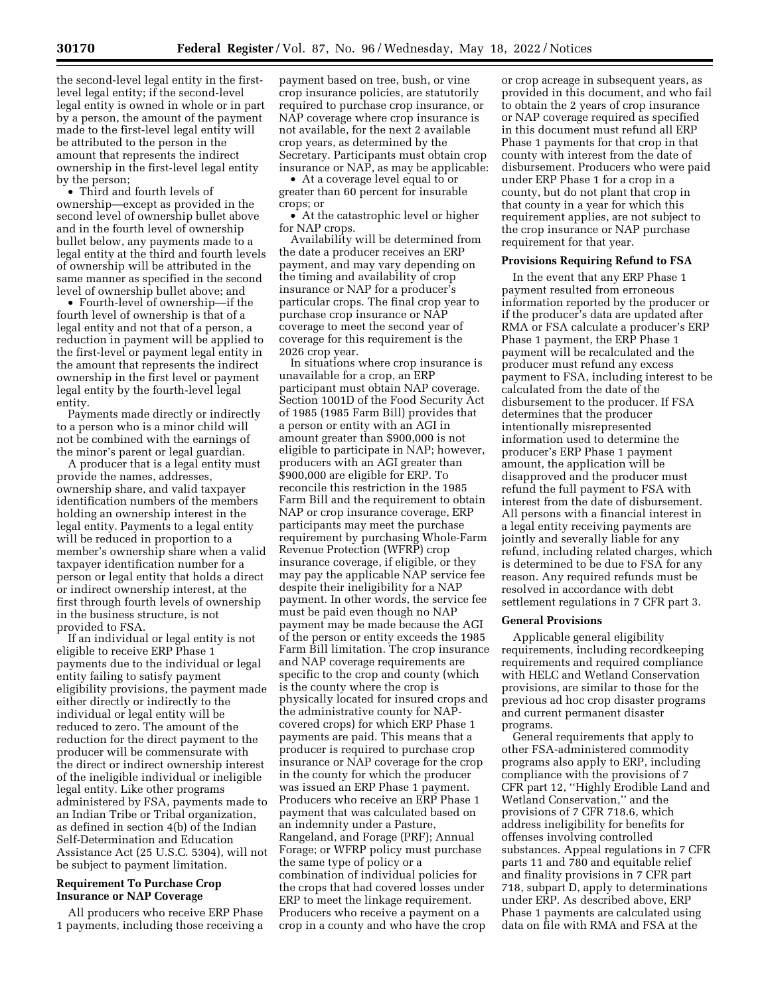the second-level legal entity in the firstlevel legal entity; if the second-level legal entity is owned in whole or in part by a person, the amount of the payment made to the first-level legal entity will be attributed to the person in the amount that represents the indirect ownership in the first-level legal entity by the person;

• Third and fourth levels of ownership—except as provided in the second level of ownership bullet above and in the fourth level of ownership bullet below, any payments made to a legal entity at the third and fourth levels of ownership will be attributed in the same manner as specified in the second level of ownership bullet above; and

• Fourth-level of ownership—if the fourth level of ownership is that of a legal entity and not that of a person, a reduction in payment will be applied to the first-level or payment legal entity in the amount that represents the indirect ownership in the first level or payment legal entity by the fourth-level legal entity.

Payments made directly or indirectly to a person who is a minor child will not be combined with the earnings of the minor's parent or legal guardian.

A producer that is a legal entity must provide the names, addresses, ownership share, and valid taxpayer identification numbers of the members holding an ownership interest in the legal entity. Payments to a legal entity will be reduced in proportion to a member's ownership share when a valid taxpayer identification number for a person or legal entity that holds a direct or indirect ownership interest, at the first through fourth levels of ownership in the business structure, is not provided to FSA.

If an individual or legal entity is not eligible to receive ERP Phase 1 payments due to the individual or legal entity failing to satisfy payment eligibility provisions, the payment made either directly or indirectly to the individual or legal entity will be reduced to zero. The amount of the reduction for the direct payment to the producer will be commensurate with the direct or indirect ownership interest of the ineligible individual or ineligible legal entity. Like other programs administered by FSA, payments made to an Indian Tribe or Tribal organization, as defined in section 4(b) of the Indian Self-Determination and Education Assistance Act (25 U.S.C. 5304), will not be subject to payment limitation.

## **Requirement To Purchase Crop Insurance or NAP Coverage**

All producers who receive ERP Phase 1 payments, including those receiving a

payment based on tree, bush, or vine crop insurance policies, are statutorily required to purchase crop insurance, or NAP coverage where crop insurance is not available, for the next 2 available crop years, as determined by the Secretary. Participants must obtain crop insurance or NAP, as may be applicable:

• At a coverage level equal to or greater than 60 percent for insurable crops; or

• At the catastrophic level or higher for NAP crops.

Availability will be determined from the date a producer receives an ERP payment, and may vary depending on the timing and availability of crop insurance or NAP for a producer's particular crops. The final crop year to purchase crop insurance or NAP coverage to meet the second year of coverage for this requirement is the 2026 crop year.

In situations where crop insurance is unavailable for a crop, an ERP participant must obtain NAP coverage. Section 1001D of the Food Security Act of 1985 (1985 Farm Bill) provides that a person or entity with an AGI in amount greater than \$900,000 is not eligible to participate in NAP; however, producers with an AGI greater than \$900,000 are eligible for ERP. To reconcile this restriction in the 1985 Farm Bill and the requirement to obtain NAP or crop insurance coverage, ERP participants may meet the purchase requirement by purchasing Whole-Farm Revenue Protection (WFRP) crop insurance coverage, if eligible, or they may pay the applicable NAP service fee despite their ineligibility for a NAP payment. In other words, the service fee must be paid even though no NAP payment may be made because the AGI of the person or entity exceeds the 1985 Farm Bill limitation. The crop insurance and NAP coverage requirements are specific to the crop and county (which is the county where the crop is physically located for insured crops and the administrative county for NAPcovered crops) for which ERP Phase 1 payments are paid. This means that a producer is required to purchase crop insurance or NAP coverage for the crop in the county for which the producer was issued an ERP Phase 1 payment. Producers who receive an ERP Phase 1 payment that was calculated based on an indemnity under a Pasture, Rangeland, and Forage (PRF); Annual Forage; or WFRP policy must purchase the same type of policy or a combination of individual policies for the crops that had covered losses under ERP to meet the linkage requirement. Producers who receive a payment on a crop in a county and who have the crop

or crop acreage in subsequent years, as provided in this document, and who fail to obtain the 2 years of crop insurance or NAP coverage required as specified in this document must refund all ERP Phase 1 payments for that crop in that county with interest from the date of disbursement. Producers who were paid under ERP Phase 1 for a crop in a county, but do not plant that crop in that county in a year for which this requirement applies, are not subject to the crop insurance or NAP purchase requirement for that year.

#### **Provisions Requiring Refund to FSA**

In the event that any ERP Phase 1 payment resulted from erroneous information reported by the producer or if the producer's data are updated after RMA or FSA calculate a producer's ERP Phase 1 payment, the ERP Phase 1 payment will be recalculated and the producer must refund any excess payment to FSA, including interest to be calculated from the date of the disbursement to the producer. If FSA determines that the producer intentionally misrepresented information used to determine the producer's ERP Phase 1 payment amount, the application will be disapproved and the producer must refund the full payment to FSA with interest from the date of disbursement. All persons with a financial interest in a legal entity receiving payments are jointly and severally liable for any refund, including related charges, which is determined to be due to FSA for any reason. Any required refunds must be resolved in accordance with debt settlement regulations in 7 CFR part 3.

#### **General Provisions**

Applicable general eligibility requirements, including recordkeeping requirements and required compliance with HELC and Wetland Conservation provisions, are similar to those for the previous ad hoc crop disaster programs and current permanent disaster programs.

General requirements that apply to other FSA-administered commodity programs also apply to ERP, including compliance with the provisions of 7 CFR part 12, ''Highly Erodible Land and Wetland Conservation,'' and the provisions of 7 CFR 718.6, which address ineligibility for benefits for offenses involving controlled substances. Appeal regulations in 7 CFR parts 11 and 780 and equitable relief and finality provisions in 7 CFR part 718, subpart D, apply to determinations under ERP. As described above, ERP Phase 1 payments are calculated using data on file with RMA and FSA at the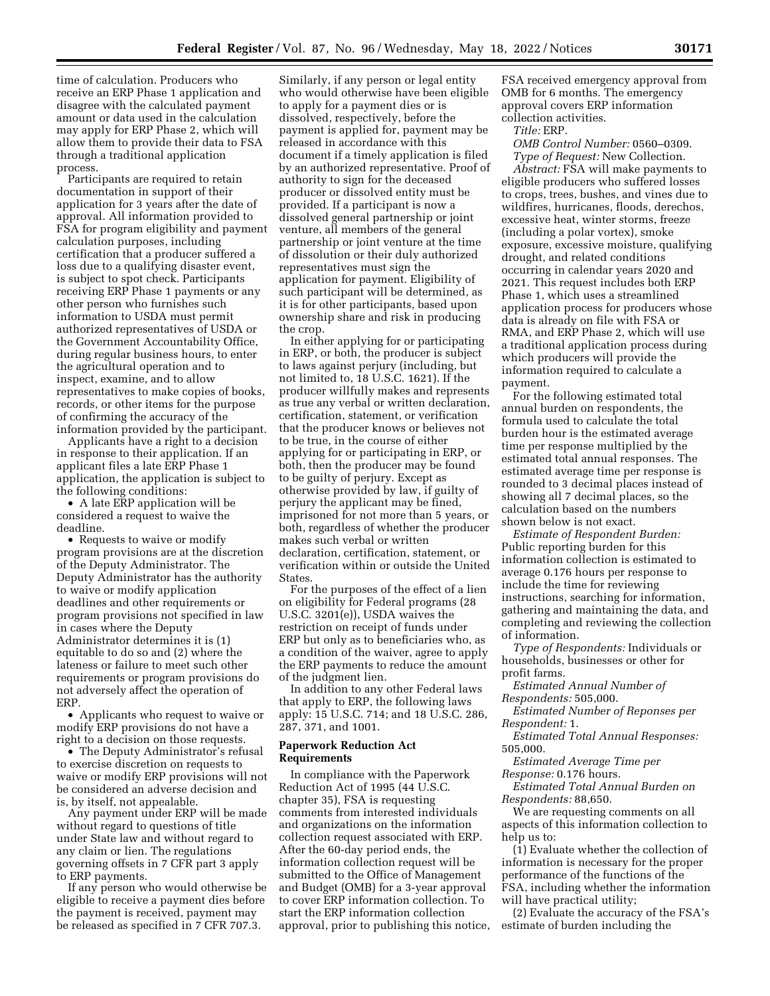time of calculation. Producers who receive an ERP Phase 1 application and disagree with the calculated payment amount or data used in the calculation may apply for ERP Phase 2, which will allow them to provide their data to FSA through a traditional application process.

Participants are required to retain documentation in support of their application for 3 years after the date of approval. All information provided to FSA for program eligibility and payment calculation purposes, including certification that a producer suffered a loss due to a qualifying disaster event, is subject to spot check. Participants receiving ERP Phase 1 payments or any other person who furnishes such information to USDA must permit authorized representatives of USDA or the Government Accountability Office, during regular business hours, to enter the agricultural operation and to inspect, examine, and to allow representatives to make copies of books, records, or other items for the purpose of confirming the accuracy of the information provided by the participant.

Applicants have a right to a decision in response to their application. If an applicant files a late ERP Phase 1 application, the application is subject to the following conditions:

• A late ERP application will be considered a request to waive the deadline.

• Requests to waive or modify program provisions are at the discretion of the Deputy Administrator. The Deputy Administrator has the authority to waive or modify application deadlines and other requirements or program provisions not specified in law in cases where the Deputy Administrator determines it is (1) equitable to do so and (2) where the lateness or failure to meet such other requirements or program provisions do not adversely affect the operation of ERP.

• Applicants who request to waive or modify ERP provisions do not have a right to a decision on those requests.

• The Deputy Administrator's refusal to exercise discretion on requests to waive or modify ERP provisions will not be considered an adverse decision and is, by itself, not appealable.

Any payment under ERP will be made without regard to questions of title under State law and without regard to any claim or lien. The regulations governing offsets in 7 CFR part 3 apply to ERP payments.

If any person who would otherwise be eligible to receive a payment dies before the payment is received, payment may be released as specified in 7 CFR 707.3.

Similarly, if any person or legal entity who would otherwise have been eligible to apply for a payment dies or is dissolved, respectively, before the payment is applied for, payment may be released in accordance with this document if a timely application is filed by an authorized representative. Proof of authority to sign for the deceased producer or dissolved entity must be provided. If a participant is now a dissolved general partnership or joint venture, all members of the general partnership or joint venture at the time of dissolution or their duly authorized representatives must sign the application for payment. Eligibility of such participant will be determined, as it is for other participants, based upon ownership share and risk in producing the crop.

In either applying for or participating in ERP, or both, the producer is subject to laws against perjury (including, but not limited to, 18 U.S.C. 1621). If the producer willfully makes and represents as true any verbal or written declaration, certification, statement, or verification that the producer knows or believes not to be true, in the course of either applying for or participating in ERP, or both, then the producer may be found to be guilty of perjury. Except as otherwise provided by law, if guilty of perjury the applicant may be fined, imprisoned for not more than 5 years, or both, regardless of whether the producer makes such verbal or written declaration, certification, statement, or verification within or outside the United States.

For the purposes of the effect of a lien on eligibility for Federal programs (28 U.S.C. 3201(e)), USDA waives the restriction on receipt of funds under ERP but only as to beneficiaries who, as a condition of the waiver, agree to apply the ERP payments to reduce the amount of the judgment lien.

In addition to any other Federal laws that apply to ERP, the following laws apply: 15 U.S.C. 714; and 18 U.S.C. 286, 287, 371, and 1001.

## **Paperwork Reduction Act Requirements**

In compliance with the Paperwork Reduction Act of 1995 (44 U.S.C. chapter 35), FSA is requesting comments from interested individuals and organizations on the information collection request associated with ERP. After the 60-day period ends, the information collection request will be submitted to the Office of Management and Budget (OMB) for a 3-year approval to cover ERP information collection. To start the ERP information collection approval, prior to publishing this notice,

FSA received emergency approval from OMB for 6 months. The emergency approval covers ERP information collection activities.

#### *Title:* ERP.

*OMB Control Number:* 0560–0309. *Type of Request:* New Collection.

*Abstract:* FSA will make payments to eligible producers who suffered losses to crops, trees, bushes, and vines due to wildfires, hurricanes, floods, derechos, excessive heat, winter storms, freeze (including a polar vortex), smoke exposure, excessive moisture, qualifying drought, and related conditions occurring in calendar years 2020 and 2021. This request includes both ERP Phase 1, which uses a streamlined application process for producers whose data is already on file with FSA or RMA, and ERP Phase 2, which will use a traditional application process during which producers will provide the information required to calculate a payment.

For the following estimated total annual burden on respondents, the formula used to calculate the total burden hour is the estimated average time per response multiplied by the estimated total annual responses. The estimated average time per response is rounded to 3 decimal places instead of showing all 7 decimal places, so the calculation based on the numbers shown below is not exact.

*Estimate of Respondent Burden:*  Public reporting burden for this information collection is estimated to average 0.176 hours per response to include the time for reviewing instructions, searching for information, gathering and maintaining the data, and completing and reviewing the collection of information.

*Type of Respondents:* Individuals or households, businesses or other for profit farms.

*Estimated Annual Number of Respondents:* 505,000.

*Estimated Number of Reponses per Respondent:* 1.

*Estimated Total Annual Responses:*  505,000.

*Estimated Average Time per* 

*Response:* 0.176 hours.

*Estimated Total Annual Burden on Respondents:* 88,650.

We are requesting comments on all aspects of this information collection to help us to:

(1) Evaluate whether the collection of information is necessary for the proper performance of the functions of the FSA, including whether the information will have practical utility;

(2) Evaluate the accuracy of the FSA's estimate of burden including the